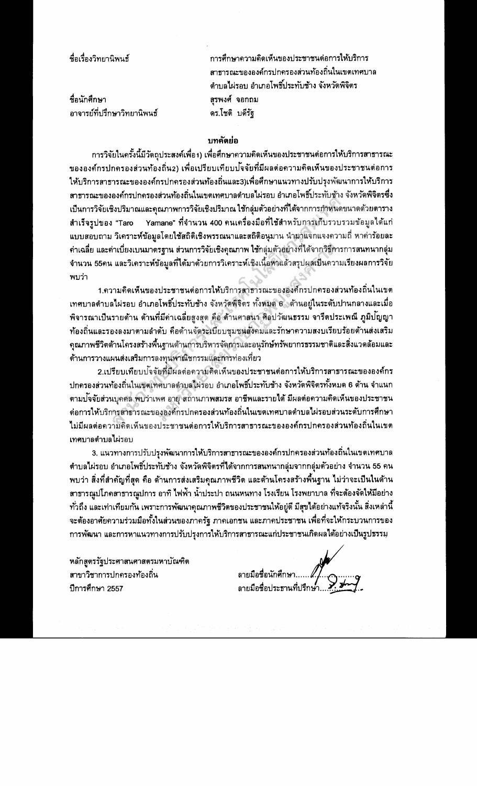| ชื่อเรื่องวิทยานิพนธ์       | การศึกษาความคิดเห็นของประชาชนต่อการให้บริการ    |
|-----------------------------|-------------------------------------------------|
|                             | ิสาธารณะขององค์กรปกครองส่วนท้องถิ่นในเขตเทศบาเ  |
|                             | ้ ตำบลไผ่รอบ อำเภอโพธิ์ประทับช้าง จังหวัดพิจิตร |
| ชื่อนักศึกษา                | สุรพงศ์ จอกถม                                   |
| อาจารย์ที่ปรึกษาวิทยานิพนธ์ | ดร.โชติ บดีรัฐ                                  |
|                             |                                                 |

## บทคัดย่อ

การวิจัยในครั้งนี้มีวัดถุประสงค์เพื่อ1) เพื่อศึกษาความคิดเห็นของประชาชนต่อการให้บริการสาธารณะ ขององค์กรปกครองส่วนท้องถิ่น2) เพื่อเปรียบเทียบป<sup>ั</sup>จจัยที่มีผลต่อความคิดเห็นของประชาชนต่อการ ให้บริการสาธารณะขององค์กรปกครองส่วนท้องถิ่นและ3)เพื่อศึกษาแนวทางปรับปรงพัฒนาการให้บริการ สาธารณะขององค์กรปกครองส่วนท้องถิ่นในเขตเทศบาลดำบลไผ่รอบ อำเภอโพธิ์ประทับช้าง จังหวัดพิจิตรซึ่ง เป็นการวิจัยเชิงปริมาณและคุณภาพการวิจัยเชิงปริมาณ ใช้กลุ่มตัวอย่างที่ได้จากการกำหนดขนาดด้วยตาราง Yamane" ที่จำนวน 400 คนเครื่องมือที่ใช้สำหรับการเก็บรวบรวมข้อมูลได้แก่ สำเร็จรูปของ "Taro แบบสอบถาม วิเคราะห์ข้อมูลโดยใช้สถิติเชิงพรรณนาและสถิติอนุมาน นำมาแจกแจงความถี่ หาค่าร้อยละ ค่าเฉลี่ย และค่าเบี่ยงเบนมาดรฐาน ส่วนการวิจัยเชิงคุณภาพ ใช้กลุ่มตัวอย่างที่ได้จากวิธีการการสนทนากลุ่ม จำนวน 55คน และวิเคราะห์ข้อมูลที่ได้มาด้วยการวิเคราะห์เชิงเนื้อหาแล้วสรุปผลเป็นความเรียงผลการวิจัย พบว่า

1.ความคิดเห็นของประชาชนต่อการให้บริการสาธารณะขององค์กรปกครองส่วนท้องถิ่นในเขต เทศบาลตำบลไผ่รอบ อำเภอโพธิ์ประทับช้าง จังหวัดพิจิตร ทั้งหมด 6 ้ ด้านอยู่ในระดับปานกลางและเมื่อ พิจารณาเป็นรายด้าน ด้านที่มีค่าเฉลี่ยสูงสุด คือ ด้านศาสนา ศิลปวัฒนธรรม จารีตประเพณี ภูมิปัญญา ท้องถิ่นและรองลงมาตามลำดับ คือด้านจัดระเบียบชุมชนสังคมและรักษาความสงบเรียบร้อยด้านส่งเสริม ดุณภาพชีวิตด้านโครงสร้างพื้นฐานด้านการบริหารจัดการและอนุรักษ์ทรัพยากรธรรมชาติและสิ่งแวดล้อมและ ด้านการวางแผนส่งเสริมการลงทุนพาณิชกรรมและการท่องเที่ยว

2.เปรียบเทียบปจจัยที่มีผลด่อความคิดเห็นของประชาชนต่อการให้บริการสาธารณะขององค์กร ปกครองส่วนท้องถิ่นในเขตเทศบาลดำบลไผ่รอบ อำเภอโพธิ์ประทับช้าง จังหวัดพิจิตรทั้งหมด 6 ด้าน จำแนก ตามปจจัยส่วนบุคคล พบว่าเพศ อายุ สถานภาพสมรส อาชีพและรายได้ มีผลต่อความคิดเห็นของประชาชน ด่อการให้บริการสาธารณะขององค์กรปกครองส่วนท้องถิ่นในเขตเทศบาลดำบลไผ่รอบส่วนระดับการศึกษา ไม่มีผลต่อความคิดเห็นของประชาชนต่อการให้บริการสาธารณะขององค์กรปกครองส่วนท้องถิ่นในเขต **เทศบาลตำบลไผ่รอบ** 

3. แนวทางการปรับปรุงพัฒนาการให้บริการสาธารณะขององค์กรปกครองส่วนท้องถิ่นในเขตเทศบาล ตำบลไผ่รอบ อำเภอโพธิ์ประทับช้าง จังหวัดพิจิตรที่ได้จากการสนทนากลุ่มจากกลุ่มตัวอย่าง จำนวน 55 คน พบว่า สิ่งที่สำคัญที่สุด คือ ด้านการส่งเสริมคุณภาพชีวิต และด้านโครงสร้างพื้นฐาน ไม่ว่าจะเป็นในด้าน สาธารณูปโภคสาธารณูปการ อาทิ ไฟฟ้า น้ำประปา ถนนหนทาง โรงเรียน โรงพยาบาล ที่จะต้องจัดให้มีอย่าง ้ทั่วถึง และเท่าเทียมกัน เพราะการพัฒนาคุณภาพชีวิตของประชาชนให้อยู่ดี มีสุขได้อย่างแท้จริงนั้น สิ่งเหล่านี้ จะต้องอาศัยความร่วมมือทั้งในส่วนของภาครัฐ ภาคเอกชน และภาคประชาชน เพื่อที่จะให้กระบวนการของ การพัฒนา และการหาแนวทางการปรับปรุงการให้บริการสาธารณะแก่ประชาชนเกิดผลได้อย่างเป็นรูปธรรมุ

หลักสูตรรัฐประศาสนศาสตรมหาบัณฑิต สาขาวิชาการปกครองท้องถิ่น ปีการศึกษา 2557

ลายมือชื่อนักศึกษา.. ลายมือชื่อประธานที่ปรึกษ